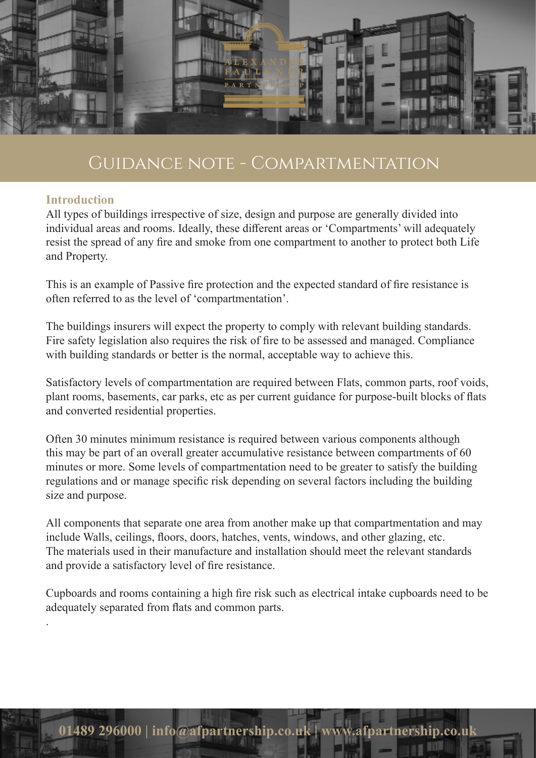

### **Introduction**

.

All types of buildings irrespective of size, design and purpose are generally divided into individual areas and rooms. Ideally, these different areas or 'Compartments' will adequately resist the spread of any fire and smoke from one compartment to another to protect both Life and Property.

This is an example of Passive fire protection and the expected standard of fire resistance is often referred to as the level of 'compartmentation'.

The buildings insurers will expect the property to comply with relevant building standards. Fire safety legislation also requires the risk of fire to be assessed and managed. Compliance with building standards or better is the normal, acceptable way to achieve this.

Satisfactory levels of compartmentation are required between Flats, common parts, roof voids, plant rooms, basements, car parks, etc as per current guidance for purpose-built blocks of flats and converted residential properties.

Often 30 minutes minimum resistance is required between various components although this may be part of an overall greater accumulative resistance between compartments of 60 minutes or more. Some levels of compartmentation need to be greater to satisfy the building regulations and or manage specific risk depending on several factors including the building size and purpose.

All components that separate one area from another make up that compartmentation and may include Walls, ceilings, floors, doors, hatches, vents, windows, and other glazing, etc. The materials used in their manufacture and installation should meet the relevant standards and provide a satisfactory level of fire resistance.

Cupboards and rooms containing a high fire risk such as electrical intake cupboards need to be adequately separated from flats and common parts.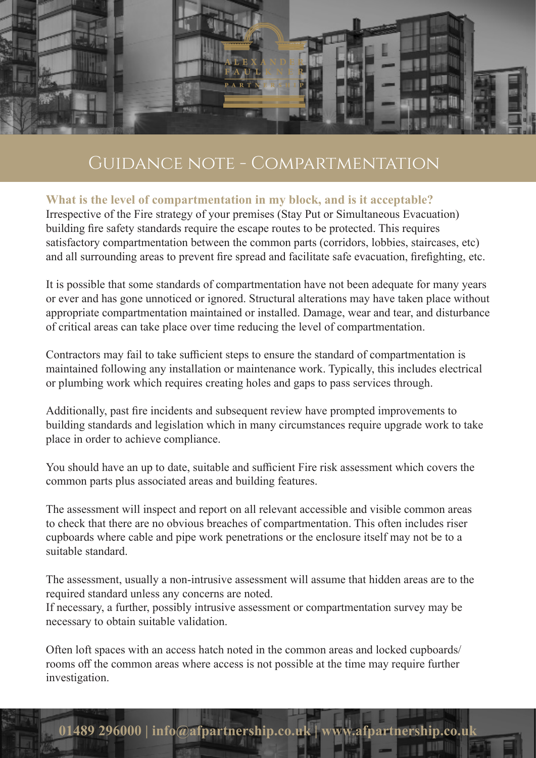

## **What is the level of compartmentation in my block, and is it acceptable?**

Irrespective of the Fire strategy of your premises (Stay Put or Simultaneous Evacuation) building fire safety standards require the escape routes to be protected. This requires satisfactory compartmentation between the common parts (corridors, lobbies, staircases, etc) and all surrounding areas to prevent fire spread and facilitate safe evacuation, firefighting, etc.

It is possible that some standards of compartmentation have not been adequate for many years or ever and has gone unnoticed or ignored. Structural alterations may have taken place without appropriate compartmentation maintained or installed. Damage, wear and tear, and disturbance of critical areas can take place over time reducing the level of compartmentation.

Contractors may fail to take sufficient steps to ensure the standard of compartmentation is maintained following any installation or maintenance work. Typically, this includes electrical or plumbing work which requires creating holes and gaps to pass services through.

Additionally, past fire incidents and subsequent review have prompted improvements to building standards and legislation which in many circumstances require upgrade work to take place in order to achieve compliance.

You should have an up to date, suitable and sufficient Fire risk assessment which covers the common parts plus associated areas and building features.

The assessment will inspect and report on all relevant accessible and visible common areas to check that there are no obvious breaches of compartmentation. This often includes riser cupboards where cable and pipe work penetrations or the enclosure itself may not be to a suitable standard.

The assessment, usually a non-intrusive assessment will assume that hidden areas are to the required standard unless any concerns are noted.

If necessary, a further, possibly intrusive assessment or compartmentation survey may be necessary to obtain suitable validation.

Often loft spaces with an access hatch noted in the common areas and locked cupboards/ rooms off the common areas where access is not possible at the time may require further investigation.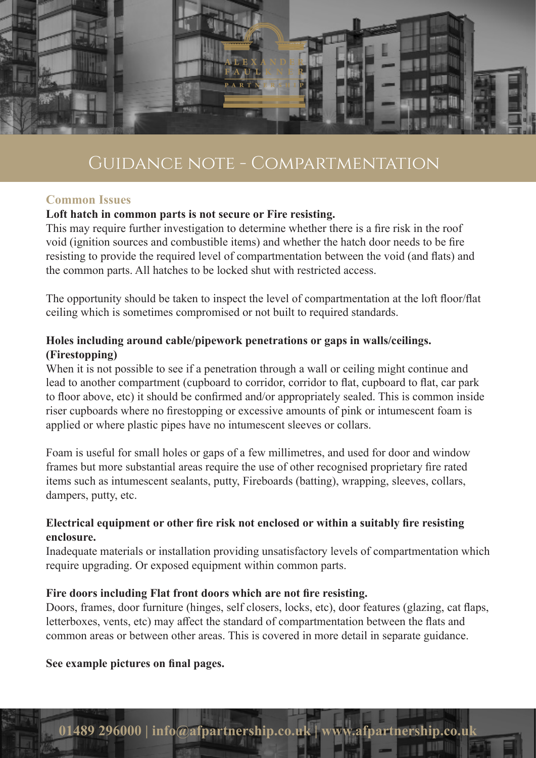

### **Common Issues**

### **Loft hatch in common parts is not secure or Fire resisting.**

This may require further investigation to determine whether there is a fire risk in the roof void (ignition sources and combustible items) and whether the hatch door needs to be fire resisting to provide the required level of compartmentation between the void (and flats) and the common parts. All hatches to be locked shut with restricted access.

The opportunity should be taken to inspect the level of compartmentation at the loft floor/flat ceiling which is sometimes compromised or not built to required standards.

## **Holes including around cable/pipework penetrations or gaps in walls/ceilings. (Firestopping)**

When it is not possible to see if a penetration through a wall or ceiling might continue and lead to another compartment (cupboard to corridor, corridor to flat, cupboard to flat, car park to floor above, etc) it should be confirmed and/or appropriately sealed. This is common inside riser cupboards where no firestopping or excessive amounts of pink or intumescent foam is applied or where plastic pipes have no intumescent sleeves or collars.

Foam is useful for small holes or gaps of a few millimetres, and used for door and window frames but more substantial areas require the use of other recognised proprietary fire rated items such as intumescent sealants, putty, Fireboards (batting), wrapping, sleeves, collars, dampers, putty, etc.

## **Electrical equipment or other fire risk not enclosed or within a suitably fire resisting enclosure.**

Inadequate materials or installation providing unsatisfactory levels of compartmentation which require upgrading. Or exposed equipment within common parts.

### **Fire doors including Flat front doors which are not fire resisting.**

Doors, frames, door furniture (hinges, self closers, locks, etc), door features (glazing, cat flaps, letterboxes, vents, etc) may affect the standard of compartmentation between the flats and common areas or between other areas. This is covered in more detail in separate guidance.

### **See example pictures on final pages.**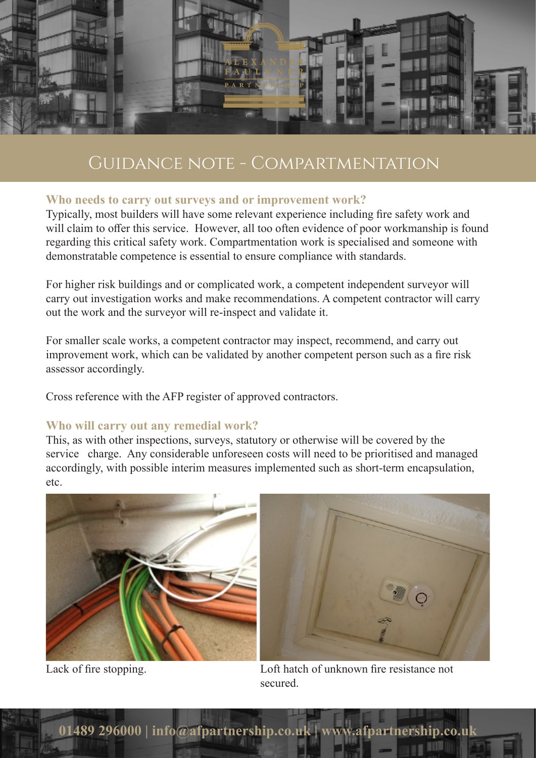

## **Who needs to carry out surveys and or improvement work?**

Typically, most builders will have some relevant experience including fire safety work and will claim to offer this service. However, all too often evidence of poor workmanship is found regarding this critical safety work. Compartmentation work is specialised and someone with demonstratable competence is essential to ensure compliance with standards.

For higher risk buildings and or complicated work, a competent independent surveyor will carry out investigation works and make recommendations. A competent contractor will carry out the work and the surveyor will re-inspect and validate it.

For smaller scale works, a competent contractor may inspect, recommend, and carry out improvement work, which can be validated by another competent person such as a fire risk assessor accordingly.

Cross reference with the AFP register of approved contractors.

### **Who will carry out any remedial work?**

This, as with other inspections, surveys, statutory or otherwise will be covered by the service charge. Any considerable unforeseen costs will need to be prioritised and managed accordingly, with possible interim measures implemented such as short-term encapsulation, etc.





Lack of fire stopping. Loft hatch of unknown fire resistance not secured.